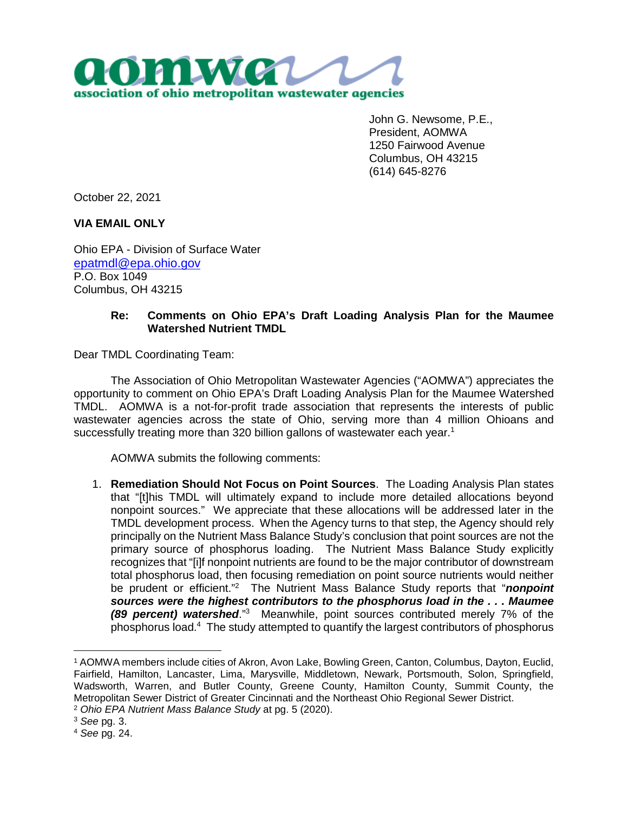

John G. Newsome, P.E., President, AOMWA 1250 Fairwood Avenue Columbus, OH 43215 (614) 645-8276

October 22, 2021

**VIA EMAIL ONLY**

Ohio EPA - Division of Surface Water epatmdl@epa.ohio.gov P.O. Box 1049 Columbus, OH 43215

## **Re: Comments on Ohio EPA's Draft Loading Analysis Plan for the Maumee Watershed Nutrient TMDL**

Dear TMDL Coordinating Team:

The Association of Ohio Metropolitan Wastewater Agencies ("AOMWA") appreciates the opportunity to comment on Ohio EPA's Draft Loading Analysis Plan for the Maumee Watershed TMDL. AOMWA is a not-for-profit trade association that represents the interests of public wastewater agencies across the state of Ohio, serving more than 4 million Ohioans and successfully treating more than 320 billion gallons of wastewater each year.<sup>1</sup>

AOMWA submits the following comments:

1. **Remediation Should Not Focus on Point Sources**. The Loading Analysis Plan states that "[t]his TMDL will ultimately expand to include more detailed allocations beyond nonpoint sources." We appreciate that these allocations will be addressed later in the TMDL development process. When the Agency turns to that step, the Agency should rely principally on the Nutrient Mass Balance Study's conclusion that point sources are not the primary source of phosphorus loading. The Nutrient Mass Balance Study explicitly recognizes that "[i]f nonpoint nutrients are found to be the major contributor of downstream total phosphorus load, then focusing remediation on point source nutrients would neither be prudent or efficient."<sup>2</sup> The Nutrient Mass Balance Study reports that "*nonpoint sources were the highest contributors to the phosphorus load in the . . . Maumee (89 percent) watershed*."<sup>3</sup> Meanwhile, point sources contributed merely 7% of the phosphorus load.<sup>4</sup> The study attempted to quantify the largest contributors of phosphorus

<sup>1</sup> AOMWA members include cities of Akron, Avon Lake, Bowling Green, Canton, Columbus, Dayton, Euclid, Fairfield, Hamilton, Lancaster, Lima, Marysville, Middletown, Newark, Portsmouth, Solon, Springfield, Wadsworth, Warren, and Butler County, Greene County, Hamilton County, Summit County, the Metropolitan Sewer District of Greater Cincinnati and the Northeast Ohio Regional Sewer District.

<sup>2</sup> *Ohio EPA Nutrient Mass Balance Study* at pg. 5 (2020).

<sup>3</sup> *See* pg. 3.

<sup>4</sup> *See* pg. 24.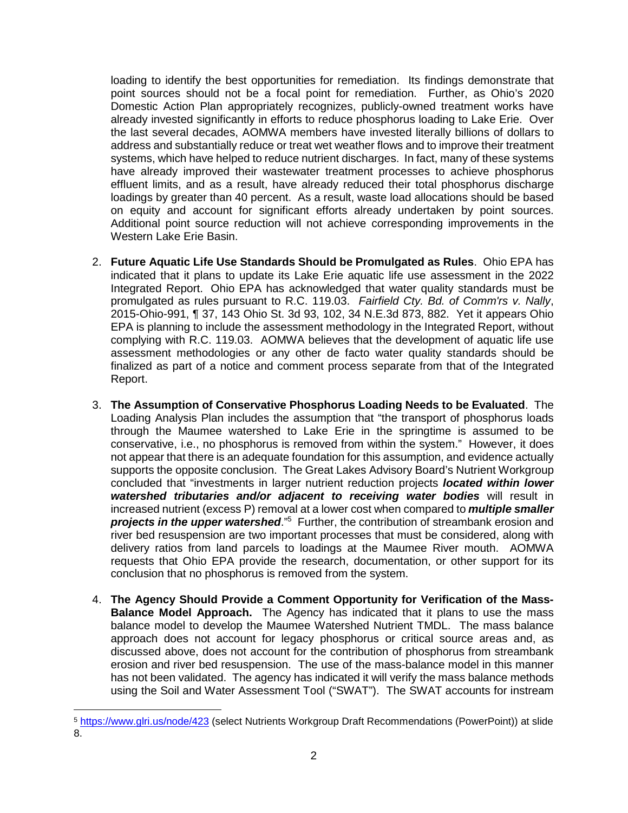loading to identify the best opportunities for remediation. Its findings demonstrate that point sources should not be a focal point for remediation. Further, as Ohio's 2020 Domestic Action Plan appropriately recognizes, publicly-owned treatment works have already invested significantly in efforts to reduce phosphorus loading to Lake Erie. Over the last several decades, AOMWA members have invested literally billions of dollars to address and substantially reduce or treat wet weather flows and to improve their treatment systems, which have helped to reduce nutrient discharges. In fact, many of these systems have already improved their wastewater treatment processes to achieve phosphorus effluent limits, and as a result, have already reduced their total phosphorus discharge loadings by greater than 40 percent. As a result, waste load allocations should be based on equity and account for significant efforts already undertaken by point sources. Additional point source reduction will not achieve corresponding improvements in the Western Lake Erie Basin.

- 2. **Future Aquatic Life Use Standards Should be Promulgated as Rules**. Ohio EPA has indicated that it plans to update its Lake Erie aquatic life use assessment in the 2022 Integrated Report. Ohio EPA has acknowledged that water quality standards must be promulgated as rules pursuant to R.C. 119.03. *Fairfield Cty. Bd. of Comm'rs v. Nally*, 2015-Ohio-991, ¶ 37, 143 Ohio St. 3d 93, 102, 34 N.E.3d 873, 882. Yet it appears Ohio EPA is planning to include the assessment methodology in the Integrated Report, without complying with R.C. 119.03. AOMWA believes that the development of aquatic life use assessment methodologies or any other de facto water quality standards should be finalized as part of a notice and comment process separate from that of the Integrated Report.
- 3. **The Assumption of Conservative Phosphorus Loading Needs to be Evaluated**. The Loading Analysis Plan includes the assumption that "the transport of phosphorus loads through the Maumee watershed to Lake Erie in the springtime is assumed to be conservative, i.e., no phosphorus is removed from within the system." However, it does not appear that there is an adequate foundation for this assumption, and evidence actually supports the opposite conclusion. The Great Lakes Advisory Board's Nutrient Workgroup concluded that "investments in larger nutrient reduction projects *located within lower watershed tributaries and/or adjacent to receiving water bodies* will result in increased nutrient (excess P) removal at a lower cost when compared to *multiple smaller*  projects in the upper watershed."<sup>5</sup> Further, the contribution of streambank erosion and river bed resuspension are two important processes that must be considered, along with delivery ratios from land parcels to loadings at the Maumee River mouth. AOMWA requests that Ohio EPA provide the research, documentation, or other support for its conclusion that no phosphorus is removed from the system.
- 4. **The Agency Should Provide a Comment Opportunity for Verification of the Mass-Balance Model Approach.** The Agency has indicated that it plans to use the mass balance model to develop the Maumee Watershed Nutrient TMDL. The mass balance approach does not account for legacy phosphorus or critical source areas and, as discussed above, does not account for the contribution of phosphorus from streambank erosion and river bed resuspension. The use of the mass-balance model in this manner has not been validated. The agency has indicated it will verify the mass balance methods using the Soil and Water Assessment Tool ("SWAT"). The SWAT accounts for instream

<sup>5</sup> https://www.glri.us/node/423 (select Nutrients Workgroup Draft Recommendations (PowerPoint)) at slide 8.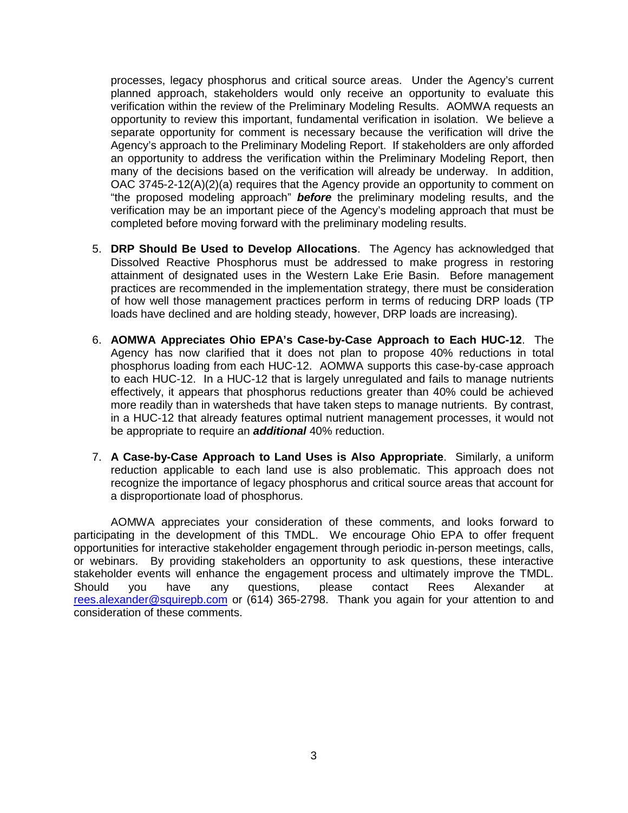processes, legacy phosphorus and critical source areas. Under the Agency's current planned approach, stakeholders would only receive an opportunity to evaluate this verification within the review of the Preliminary Modeling Results. AOMWA requests an opportunity to review this important, fundamental verification in isolation. We believe a separate opportunity for comment is necessary because the verification will drive the Agency's approach to the Preliminary Modeling Report. If stakeholders are only afforded an opportunity to address the verification within the Preliminary Modeling Report, then many of the decisions based on the verification will already be underway. In addition, OAC 3745-2-12(A)(2)(a) requires that the Agency provide an opportunity to comment on "the proposed modeling approach" *before* the preliminary modeling results, and the verification may be an important piece of the Agency's modeling approach that must be completed before moving forward with the preliminary modeling results.

- 5. **DRP Should Be Used to Develop Allocations**. The Agency has acknowledged that Dissolved Reactive Phosphorus must be addressed to make progress in restoring attainment of designated uses in the Western Lake Erie Basin. Before management practices are recommended in the implementation strategy, there must be consideration of how well those management practices perform in terms of reducing DRP loads (TP loads have declined and are holding steady, however, DRP loads are increasing).
- 6. **AOMWA Appreciates Ohio EPA's Case-by-Case Approach to Each HUC-12**. The Agency has now clarified that it does not plan to propose 40% reductions in total phosphorus loading from each HUC-12. AOMWA supports this case-by-case approach to each HUC-12. In a HUC-12 that is largely unregulated and fails to manage nutrients effectively, it appears that phosphorus reductions greater than 40% could be achieved more readily than in watersheds that have taken steps to manage nutrients. By contrast, in a HUC-12 that already features optimal nutrient management processes, it would not be appropriate to require an *additional* 40% reduction.
- 7. **A Case-by-Case Approach to Land Uses is Also Appropriate**. Similarly, a uniform reduction applicable to each land use is also problematic. This approach does not recognize the importance of legacy phosphorus and critical source areas that account for a disproportionate load of phosphorus.

AOMWA appreciates your consideration of these comments, and looks forward to participating in the development of this TMDL. We encourage Ohio EPA to offer frequent opportunities for interactive stakeholder engagement through periodic in-person meetings, calls, or webinars. By providing stakeholders an opportunity to ask questions, these interactive stakeholder events will enhance the engagement process and ultimately improve the TMDL. Should you have any questions, please contact Rees Alexander at rees.alexander@squirepb.com or (614) 365-2798. Thank you again for your attention to and consideration of these comments.